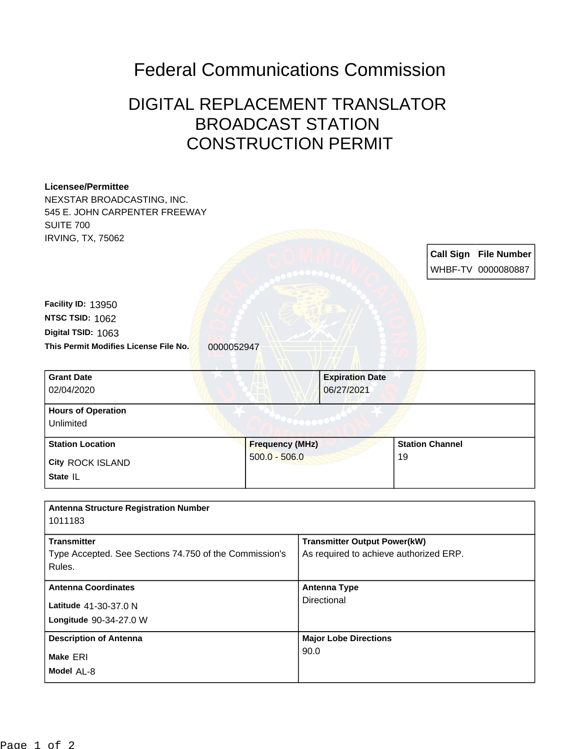## Federal Communications Commission

## DIGITAL REPLACEMENT TRANSLATOR BROADCAST STATION CONSTRUCTION PERMIT

| <b>Licensee/Permittee</b><br>NEXSTAR BROADCASTING, INC.<br>545 E. JOHN CARPENTER FREEWAY<br><b>SUITE 700</b><br><b>IRVING, TX, 75062</b> |                        |                                        |                                     |                        |  |                                                    |  |
|------------------------------------------------------------------------------------------------------------------------------------------|------------------------|----------------------------------------|-------------------------------------|------------------------|--|----------------------------------------------------|--|
|                                                                                                                                          |                        |                                        |                                     |                        |  | <b>Call Sign File Number</b><br>WHBF-TV 0000080887 |  |
|                                                                                                                                          |                        |                                        |                                     |                        |  |                                                    |  |
| Facility ID: 13950                                                                                                                       |                        |                                        |                                     |                        |  |                                                    |  |
| NTSC TSID: 1062                                                                                                                          |                        |                                        |                                     |                        |  |                                                    |  |
| Digital TSID: 1063                                                                                                                       |                        |                                        |                                     |                        |  |                                                    |  |
| This Permit Modifies License File No.<br>0000052947                                                                                      |                        |                                        |                                     |                        |  |                                                    |  |
|                                                                                                                                          |                        |                                        |                                     |                        |  |                                                    |  |
| <b>Grant Date</b>                                                                                                                        |                        |                                        | <b>Expiration Date</b>              |                        |  |                                                    |  |
| 02/04/2020                                                                                                                               |                        |                                        | 06/27/2021                          |                        |  |                                                    |  |
| <b>Hours of Operation</b>                                                                                                                |                        |                                        |                                     |                        |  |                                                    |  |
| Unlimited                                                                                                                                |                        |                                        |                                     |                        |  |                                                    |  |
| <b>Station Location</b>                                                                                                                  | <b>Frequency (MHz)</b> |                                        |                                     | <b>Station Channel</b> |  |                                                    |  |
| <b>City ROCK ISLAND</b>                                                                                                                  | $500.0 - 506.0$        |                                        | 19                                  |                        |  |                                                    |  |
| State IL                                                                                                                                 |                        |                                        |                                     |                        |  |                                                    |  |
|                                                                                                                                          |                        |                                        |                                     |                        |  |                                                    |  |
| <b>Antenna Structure Registration Number</b>                                                                                             |                        |                                        |                                     |                        |  |                                                    |  |
| 1011183                                                                                                                                  |                        |                                        |                                     |                        |  |                                                    |  |
| <b>Transmitter</b>                                                                                                                       |                        |                                        | <b>Transmitter Output Power(kW)</b> |                        |  |                                                    |  |
| Type Accepted. See Sections 74.750 of the Commission's                                                                                   |                        | As required to achieve authorized ERP. |                                     |                        |  |                                                    |  |
| Rules.                                                                                                                                   |                        |                                        |                                     |                        |  |                                                    |  |
| <b>Antenna Coordinates</b>                                                                                                               |                        |                                        | <b>Antenna Type</b>                 |                        |  |                                                    |  |
| Latitude 41-30-37.0 N                                                                                                                    |                        |                                        | Directional                         |                        |  |                                                    |  |
| Longitude 90-34-27.0 W                                                                                                                   |                        |                                        |                                     |                        |  |                                                    |  |
| <b>Description of Antenna</b>                                                                                                            |                        |                                        | <b>Major Lobe Directions</b>        |                        |  |                                                    |  |
|                                                                                                                                          |                        | 90.0                                   |                                     |                        |  |                                                    |  |
| Make ERI                                                                                                                                 |                        |                                        |                                     |                        |  |                                                    |  |
| Model AL-8                                                                                                                               |                        |                                        |                                     |                        |  |                                                    |  |